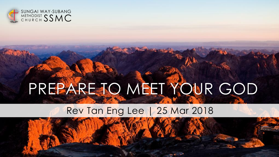

## PREPARE TO MEET YOUR GOD

### Rev Tan Eng Lee | 25 Mar 2018

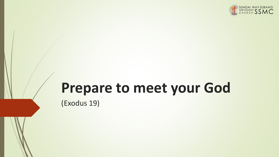

# **Prepare to meet your God**

(Exodus 19)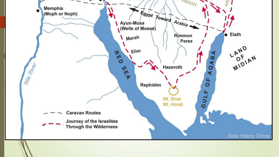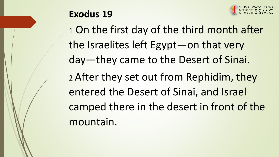

## **Exodus 19**

1 On the first day of the third month after the Israelites left Egypt—on that very day—they came to the Desert of Sinai. <sup>2</sup>After they set out from Rephidim, they entered the Desert of Sinai, and Israel camped there in the desert in front of the mountain.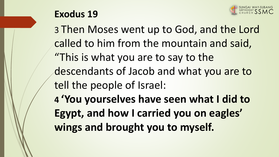

### **Exodus 19**

3 Then Moses went up to God, and the Lord called to him from the mountain and said, "This is what you are to say to the descendants of Jacob and what you are to tell the people of Israel: **4 'You yourselves have seen what I did to Egypt, and how I carried you on eagles' wings and brought you to myself.**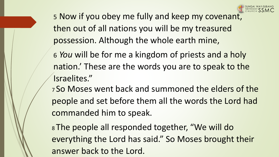

5 Now if you obey me fully and keep my covenant, then out of all nations you will be my treasured possession. Although the whole earth mine,

6 *You* will be for me a kingdom of priests and a holy nation.' These are the words you are to speak to the Israelites."

<sup>7</sup>So Moses went back and summoned the elders of the people and set before them all the words the Lord had commanded him to speak.

<sup>8</sup>The people all responded together, "We will do everything the Lord has said." So Moses brought their answer back to the Lord.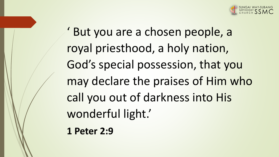

But you are a chosen people, a royal priesthood, a holy nation, God's special possession, that you may declare the praises of Him who call you out of darkness into His wonderful light.'

**1 Peter 2:9**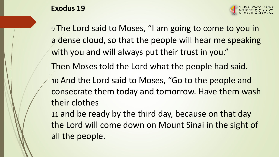



9 The Lord said to Moses, "I am going to come to you in a dense cloud, so that the people will hear me speaking with you and will always put their trust in you." Then Moses told the Lord what the people had said. 10 And the Lord said to Moses, "Go to the people and consecrate them today and tomorrow. Have them wash their clothes 11 and be ready by the third day, because on that day the Lord will come down on Mount Sinai in the sight of all the people.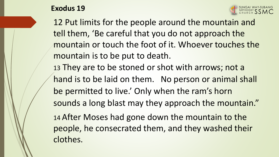



12 Put limits for the people around the mountain and tell them, 'Be careful that you do not approach the mountain or touch the foot of it. Whoever touches the mountain is to be put to death. 13 They are to be stoned or shot with arrows; not a hand is to be laid on them. No person or animal shall be permitted to live.' Only when the ram's horn

sounds a long blast may they approach the mountain."

14 After Moses had gone down the mountain to the people, he consecrated them, and they washed their clothes.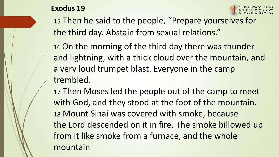



15 Then he said to the people, "Prepare yourselves for the third day. Abstain from sexual relations."

16 On the morning of the third day there was thunder and lightning, with a thick cloud over the mountain, and a very loud trumpet blast. Everyone in the camp trembled.

17 Then Moses led the people out of the camp to meet with God, and they stood at the foot of the mountain. 18 Mount Sinai was covered with smoke, because the Lord descended on it in fire. The smoke billowed up from it like smoke from a furnace, and the whole mountain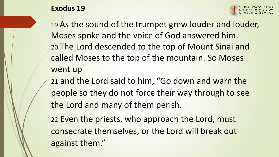#### **Exodus 19**



19 As the sound of the trumpet grew louder and louder, Moses spoke and the voice of God answered him. 20 The Lord descended to the top of Mount Sinai and called Moses to the top of the mountain. So Moses went up

21 and the Lord said to him, "Go down and warn the people so they do not force their way through to see the Lord and many of them perish.

22 Even the priests, who approach the Lord, must consecrate themselves, or the Lord will break out against them."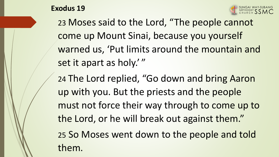

them.



23 Moses said to the Lord, "The people cannot come up Mount Sinai, because you yourself warned us, 'Put limits around the mountain and set it apart as holy.'"

24 The Lord replied, "Go down and bring Aaron up with you. But the priests and the people must not force their way through to come up to the Lord, or he will break out against them." 25 So Moses went down to the people and told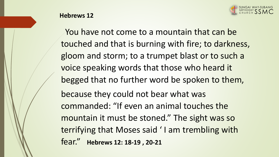

#### **Hebrews 12**

You have not come to a mountain that can be touched and that is burning with fire; to darkness, gloom and storm; to a trumpet blast or to such a voice speaking words that those who heard it begged that no further word be spoken to them, because they could not bear what was commanded: "If even an animal touches the mountain it must be stoned." The sight was so terrifying that Moses said ' I am trembling with fear." **Hebrews 12: 18-19 , 20-21**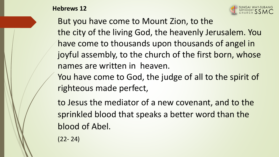**Hebrews 12**



But you have come to Mount Zion, to the the city of the living God, the heavenly Jerusalem. You have come to thousands upon thousands of angel in joyful assembly, to the church of the first born, whose names are written in heaven.

You have come to God, the judge of all to the spirit of righteous made perfect,

to Jesus the mediator of a new covenant, and to the sprinkled blood that speaks a better word than the blood of Abel.

(22- 24)